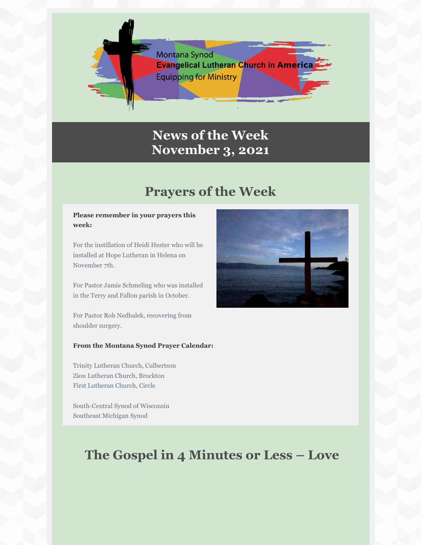

# **News of the Week November 3, 2021**

## **Prayers of the Week**

### **Please remember in your prayers this week:**

For the instillation of Heidi Hester who will be installed at Hope Lutheran in Helena on November 7th.

For Pastor Jamie Schmeling who was installed in the Terry and Fallon parish in October.

For Pastor Rob Nedbalek, recovering from shoulder surgery.

### **From the Montana Synod Prayer Calendar:**

Trinity Lutheran Church, Culbertson Zion Lutheran Church, Brockton First Lutheran Church, Circle

South-Central Synod of Wisconsin Southeast Michigan Synod



## **The Gospel in 4 Minutes or Less – Love**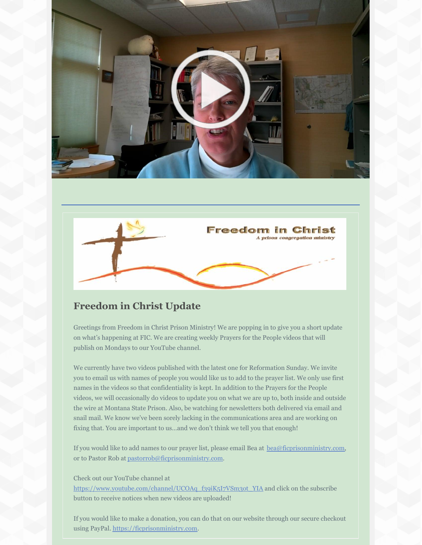



### **Freedom in Christ Update**

Greetings from Freedom in Christ Prison Ministry! We are popping in to give you a short update on what's happening at FIC. We are creating weekly Prayers for the People videos that will publish on Mondays to our YouTube channel.

We currently have two videos published with the latest one for Reformation Sunday. We invite you to email us with names of people you would like us to add to the prayer list. We only use first names in the videos so that confidentiality is kept. In addition to the Prayers for the People videos, we will occasionally do videos to update you on what we are up to, both inside and outside the wire at Montana State Prison. Also, be watching for newsletters both delivered via email and snail mail. We know we've been sorely lacking in the communications area and are working on fixing that. You are important to us…and we don't think we tell you that enough!

If you would like to add names to our prayer list, please email Bea at bea@ficprisonministry.com, or to Pastor Rob at pastorrob@ficprisonministry.com.

Check out our YouTube channel at

https://www.youtube.com/channel/UCOAq\_f39iK5I7VSm3ot\_YIA and click on the subscribe button to receive notices when new videos are uploaded!

If you would like to make a donation, you can do that on our website through our secure checkout using PayPal. https://ficprisonministry.com.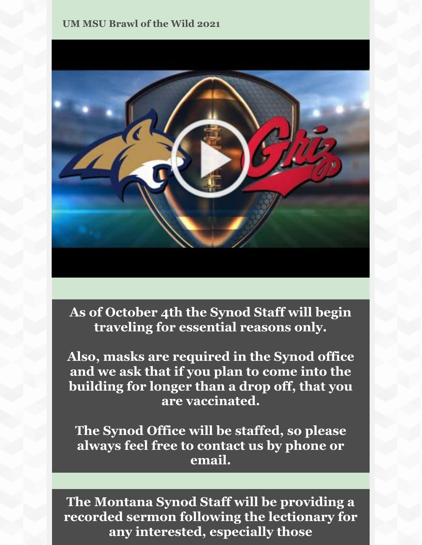### **UM MSU Brawl of the Wild 2021**



**As of October 4th the Synod Staff will begin traveling for essential reasons only.**

**Also, masks are required in the Synod office and we ask that if you plan to come into the building for longer than a drop off, that you are vaccinated.**

**The Synod Office will be staffed, so please always feel free to contact us by phone or email.**

**The Montana Synod Staff will be providing a recorded sermon following the lectionary for any interested, especially those**